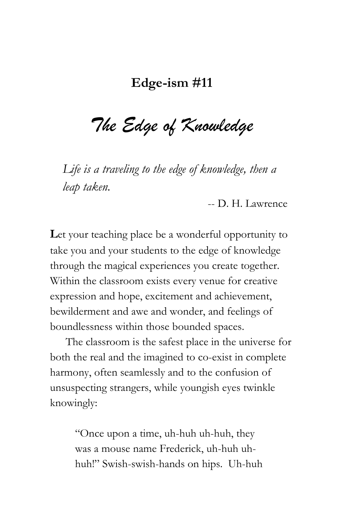## **Edge-ism #11**

*The Edge of Knowledge*

*Life is a traveling to the edge of knowledge, then a leap taken.*

-- D. H. Lawrence

Let your teaching place be a wonderful opportunity to take you and your students to the edge of knowledge through the magical experiences you create together. Within the classroom exists every venue for creative expression and hope, excitement and achievement, bewilderment and awe and wonder, and feelings of boundlessness within those bounded spaces.

The classroom is the safest place in the universe for both the real and the imagined to co-exist in complete harmony, often seamlessly and to the confusion of unsuspecting strangers, while youngish eyes twinkle knowingly:

> "Once upon a time, uh-huh uh-huh, they was a mouse name Frederick, uh-huh uhhuh!" Swish-swish-hands on hips. Uh-huh